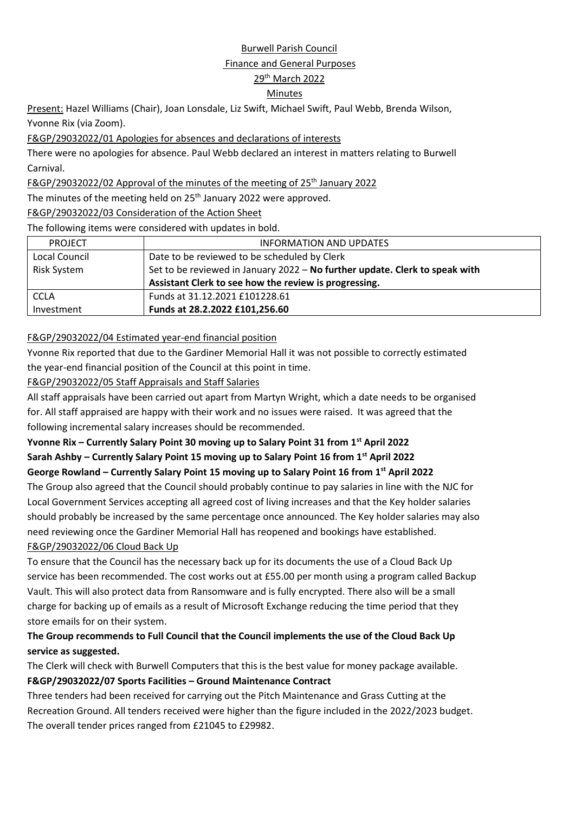## Burwell Parish Council

#### Finance and General Purposes

## 29th March 2022

## Minutes

Present: Hazel Williams (Chair), Joan Lonsdale, Liz Swift, Michael Swift, Paul Webb, Brenda Wilson, Yvonne Rix (via Zoom).

F&GP/29032022/01 Apologies for absences and declarations of interests

There were no apologies for absence. Paul Webb declared an interest in matters relating to Burwell Carnival.

F&GP/29032022/02 Approval of the minutes of the meeting of 25<sup>th</sup> January 2022

The minutes of the meeting held on  $25<sup>th</sup>$  January 2022 were approved.

F&GP/29032022/03 Consideration of the Action Sheet

The following items were considered with updates in bold.

| <b>PROJECT</b>     | INFORMATION AND UPDATES                                                     |
|--------------------|-----------------------------------------------------------------------------|
| Local Council      | Date to be reviewed to be scheduled by Clerk                                |
| <b>Risk System</b> | Set to be reviewed in January 2022 - No further update. Clerk to speak with |
|                    | Assistant Clerk to see how the review is progressing.                       |
| <b>CCLA</b>        | Funds at 31.12.2021 £101228.61                                              |
| Investment         | Funds at 28.2.2022 £101,256.60                                              |

## F&GP/29032022/04 Estimated year-end financial position

Yvonne Rix reported that due to the Gardiner Memorial Hall it was not possible to correctly estimated the year-end financial position of the Council at this point in time.

#### F&GP/29032022/05 Staff Appraisals and Staff Salaries

All staff appraisals have been carried out apart from Martyn Wright, which a date needs to be organised for. All staff appraised are happy with their work and no issues were raised. It was agreed that the following incremental salary increases should be recommended.

# **Yvonne Rix – Currently Salary Point 30 moving up to Salary Point 31 from 1st April 2022 Sarah Ashby – Currently Salary Point 15 moving up to Salary Point 16 from 1st April 2022**

## **George Rowland – Currently Salary Point 15 moving up to Salary Point 16 from 1st April 2022**

The Group also agreed that the Council should probably continue to pay salaries in line with the NJC for Local Government Services accepting all agreed cost of living increases and that the Key holder salaries should probably be increased by the same percentage once announced. The Key holder salaries may also need reviewing once the Gardiner Memorial Hall has reopened and bookings have established. F&GP/29032022/06 Cloud Back Up

To ensure that the Council has the necessary back up for its documents the use of a Cloud Back Up service has been recommended. The cost works out at £55.00 per month using a program called Backup Vault. This will also protect data from Ransomware and is fully encrypted. There also will be a small charge for backing up of emails as a result of Microsoft Exchange reducing the time period that they store emails for on their system.

# **The Group recommends to Full Council that the Council implements the use of the Cloud Back Up service as suggested.**

The Clerk will check with Burwell Computers that this is the best value for money package available. **F&GP/29032022/07 Sports Facilities – Ground Maintenance Contract**

Three tenders had been received for carrying out the Pitch Maintenance and Grass Cutting at the Recreation Ground. All tenders received were higher than the figure included in the 2022/2023 budget. The overall tender prices ranged from £21045 to £29982.